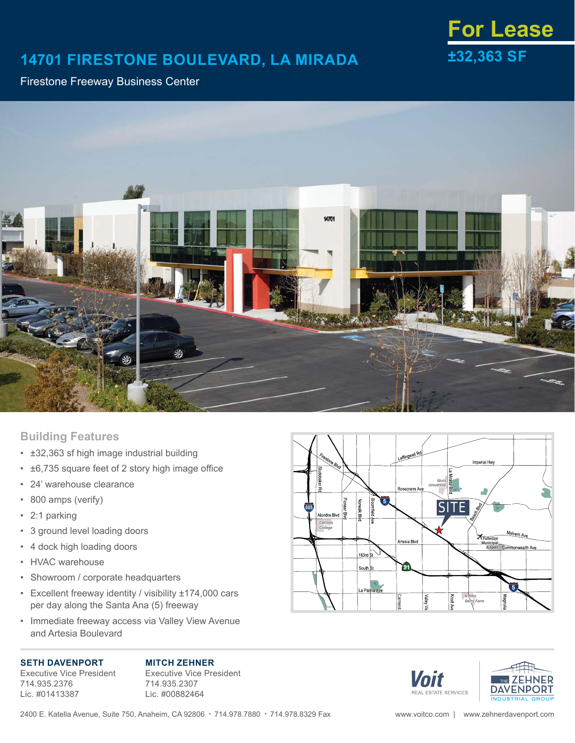## **14701 FIRESTONE BOULEVARD, LA MIRADA ±32,363 SF**

# **For Lease**

### Firestone Freeway Business Center



## **Building Features**

- ±32,363 sf high image industrial building
- $\cdot$   $\pm$ 6,735 square feet of 2 story high image office
- 24' warehouse clearance
- 800 amps (verify)
- 2:1 parking
- 3 ground level loading doors
- 4 dock high loading doors
- HVAC warehouse
- Showroom / corporate headquarters
- Excellent freeway identity / visibility ±174,000 cars per day along the Santa Ana (5) freeway
- Immediate freeway access via Valley View Avenue and Artesia Boulevard

#### **SETH DAVENPORT**

Executive Vice President 714.935.2376 Lic. #01413387

**MITCH ZEHNER** Executive Vice President 714.935.2307 Lic. #00882464